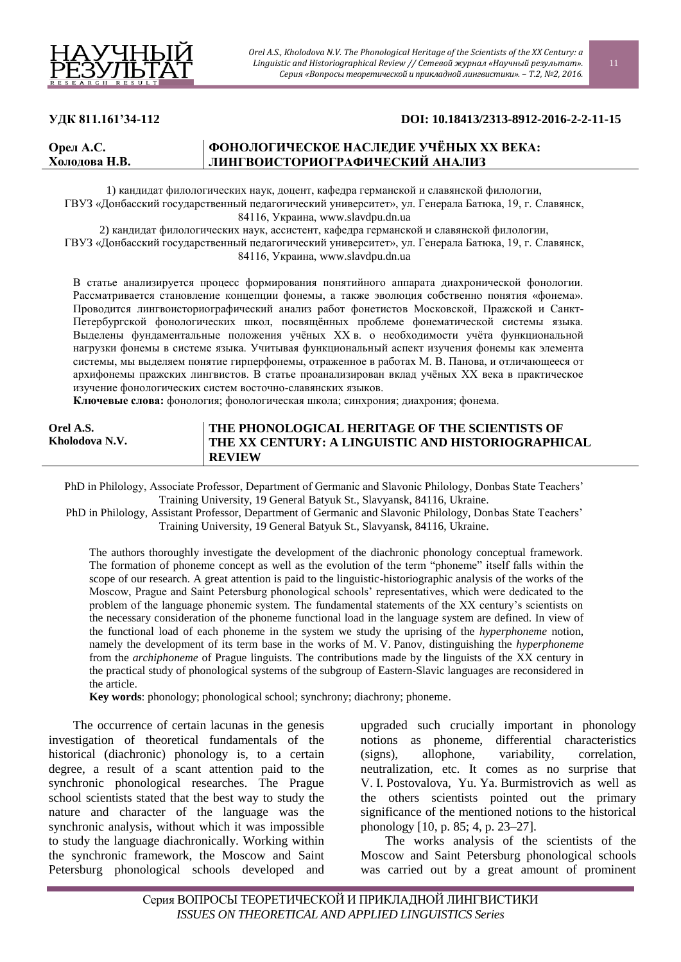

**Орел А.С. Холодова Н.В.**

## **УДК 811.161'34-112 DOI: 10.18413/2313-8912-2016-2-2-11-15**

# **ФОНОЛОГИЧЕСКОЕ НАСЛЕДИЕ УЧЁНЫХ ХХ ВЕКА: ЛИНГВОИСТОРИОГРАФИЧЕСКИЙ АНАЛИЗ**

1) кандидат филологических наук, доцент, кафедра германской и славянской филологии, ГВУЗ «Донбасский государственный педагогический университет», ул. Генерала Батюка, 19, г. Славянск, 84116, Украина, www.slavdpu.dn.ua

2) кандидат филологических наук, ассистент, кафедра германской и славянской филологии, ГВУЗ «Донбасский государственный педагогический университет», ул. Генерала Батюка, 19, г. Славянск, 84116, Украина, [www.slavdpu.dn.ua](http://www.slavdpu.dn.ua/)

В статье анализируется процесс формирования понятийного аппарата диахронической фонологии. Рассматривается становление концепции фонемы, а также эволюция собственно понятия «фонема». Проводится лингвоисториографический анализ работ фонетистов Московской, Пражской и Санкт-Петербургской фонологических школ, посвящённых проблеме фонематической системы языка. Выделены фундаментальные положения учёных ХХ в. о необходимости учёта функциональной нагрузки фонемы в системе языка. Учитывая функциональный аспект изучения фонемы как элемента системы, мы выделяем понятие гирперфонемы, отраженное в работах М. В. Панова, и отличающееся от архифонемы пражских лингвистов. В статье проанализирован вклад учёных XX века в практическое изучение фонологических систем восточно-славянских языков.

**Ключевые слова:** фонология; фонологическая школа; синхрония; диахрония; фонема.

| Orel A.S.      | THE PHONOLOGICAL HERITAGE OF THE SCIENTISTS OF     |
|----------------|----------------------------------------------------|
| Kholodova N.V. | THE XX CENTURY: A LINGUISTIC AND HISTORIOGRAPHICAL |
|                | <b>REVIEW</b>                                      |

PhD in Philology, Associate Professor, Department of Germanic and Slavonic Philology, Donbas State Teachers' Training University, 19 General Batyuk St., Slavyansk, 84116, Ukraine.

PhD in Philology, Assistant Professor, Department of Germanic and Slavonic Philology, Donbas State Teachers' Training University, 19 General Batyuk St., Slavyansk, 84116, Ukraine.

The authors thoroughly investigate the development of the diachronic phonology conceptual framework. The formation of phoneme concept as well as the evolution of the term "phoneme" itself falls within the scope of our research. A great attention is paid to the linguistic-historiographic analysis of the works of the Moscow, Prague and Saint Petersburg phonological schools' representatives, which were dedicated to the problem of the language phonemic system. The fundamental statements of the XX century's scientists on the necessary consideration of the phoneme functional load in the language system are defined. In view of the functional load of each phoneme in the system we study the uprising of the *hyperphoneme* notion, namely the development of its term base in the works of M. V. Panov, distinguishing the *hyperphoneme* from the *archiphoneme* of Prague linguists. The contributions made by the linguists of the XX century in the practical study of phonological systems of the subgroup of Eastern-Slavic languages are reconsidered in the article.

**Key words**: phonology; phonological school; synchrony; diachrony; phoneme.

The occurrence of certain lacunas in the genesis investigation of theoretical fundamentals of the historical (diachronic) phonology is, to a certain degree, a result of a scant attention paid to the synchronic phonological researches. The Prague school scientists stated that the best way to study the nature and character of the language was the synchronic analysis, without which it was impossible to study the language diachronically. Working within the synchronic framework, the Moscow and Saint Petersburg phonological schools developed and upgraded such crucially important in phonology notions as phoneme, differential characteristics (signs), allophone, variability, correlation, neutralization, etc. It comes as no surprise that V. I. Postovalova, Yu. Ya. Burmistrovich as well as the others scientists pointed out the primary significance of the mentioned notions to the historical phonology [10, p. 85; 4, p. 23–27].

The works analysis of the scientists of the Moscow and Saint Petersburg phonological schools was carried out by a great amount of prominent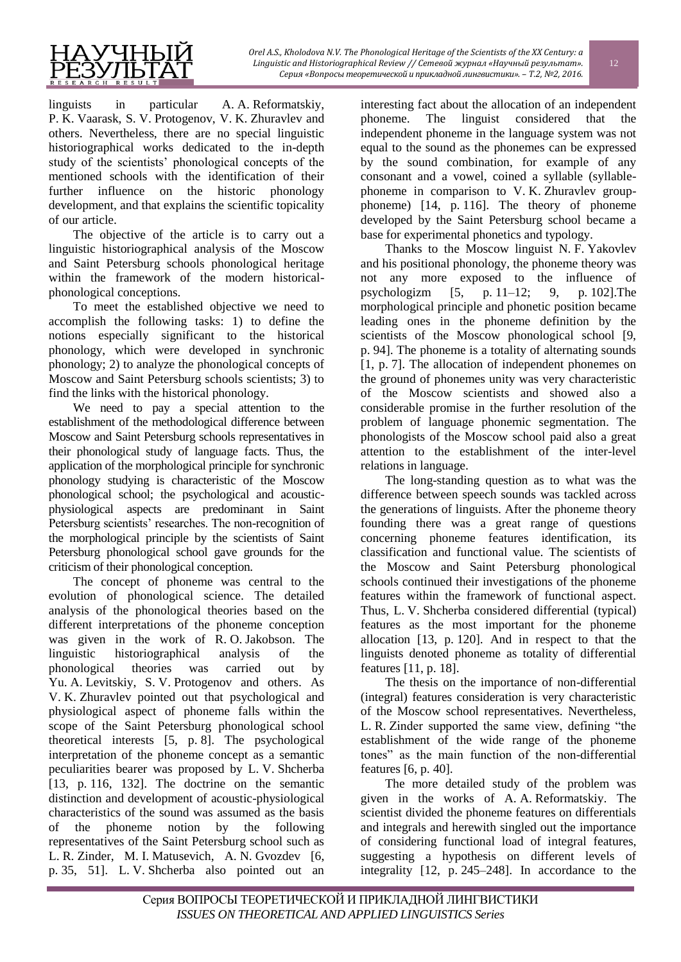

linguists in particular A. A. Reformatskiy, P. K. Vaarask, S. V. Protogenov, V. K. Zhuravlev and others. Nevertheless, there are no special linguistic historiographical works dedicated to the in-depth study of the scientists' phonological concepts of the mentioned schools with the identification of their further influence on the historic phonology development, and that explains the scientific topicality of our article.

The objective of the article is to carry out a linguistic historiographical analysis of the Moscow and Saint Petersburg schools phonological heritage within the framework of the modern historicalphonological conceptions.

To meet the established objective we need to accomplish the following tasks: 1) to define the notions especially significant to the historical phonology, which were developed in synchronic phonology; 2) to analyze the phonological concepts of Moscow and Saint Petersburg schools scientists; 3) to find the links with the historical phonology.

We need to pay a special attention to the establishment of the methodological difference between Moscow and Saint Petersburg schools representatives in their phonological study of language facts. Thus, the application of the morphological principle for synchronic phonology studying is characteristic of the Moscow phonological school; the psychological and acousticphysiological aspects are predominant in Saint Petersburg scientists' researches. The non-recognition of the morphological principle by the scientists of Saint Petersburg phonological school gave grounds for the criticism of their phonological conception.

The concept of phoneme was central to the evolution of phonological science. The detailed analysis of the phonological theories based on the different interpretations of the phoneme conception was given in the work of R. O. Jakobson. The linguistic historiographical analysis of the phonological theories was carried out by Yu. A. Levitskiy, S. V. Protogenov and others. As V. K. Zhuravlev pointed out that psychological and physiological aspect of phoneme falls within the scope of the Saint Petersburg phonological school theoretical interests [5, p. 8]. The psychological interpretation of the phoneme concept as a semantic peculiarities bearer was proposed by L. V. Shcherba [13, p. 116, 132]. The doctrine on the semantic distinction and development of acoustic-physiological characteristics of the sound was assumed as the basis of the phoneme notion by the following representatives of the Saint Petersburg school such as L. R. Zinder, M. I. Matusevich, A. N. Gvozdev [6, p. 35, 51]. L. V. Shcherba also pointed out an

interesting fact about the allocation of an independent phoneme. The linguist considered that the independent phoneme in the language system was not equal to the sound as the phonemes can be expressed by the sound combination, for example of any consonant and a vowel, coined a syllable (syllablephoneme in comparison to V. K. Zhuravlev groupphoneme) [14, p. 116]. The theory of phoneme developed by the Saint Petersburg school became a base for experimental phonetics and typology.

Thanks to the Moscow linguist N. F. Yakovlev and his positional phonology, the phoneme theory was not any more exposed to the influence of psychologizm [5, p. 11–12; 9, p. 102].The morphological principle and phonetic position became leading ones in the phoneme definition by the scientists of the Moscow phonological school [9, p. 94]. The phoneme is a totality of alternating sounds [1, p. 7]. The allocation of independent phonemes on the ground of phonemes unity was very characteristic of the Moscow scientists and showed also a considerable promise in the further resolution of the problem of language phonemic segmentation. The phonologists of the Moscow school paid also a great attention to the establishment of the inter-level relations in language.

The long-standing question as to what was the difference between speech sounds was tackled across the generations of linguists. After the phoneme theory founding there was a great range of questions concerning phoneme features identification, its classification and functional value. The scientists of the Moscow and Saint Petersburg phonological schools continued their investigations of the phoneme features within the framework of functional aspect. Thus, L. V. Shcherba considered differential (typical) features as the most important for the phoneme allocation [13, p. 120]. And in respect to that the linguists denoted phoneme as totality of differential features [11, p. 18].

The thesis on the importance of non-differential (integral) features consideration is very characteristic of the Moscow school representatives. Nevertheless, L. R. Zinder supported the same view, defining "the establishment of the wide range of the phoneme tones" as the main function of the non-differential features [6, p. 40].

The more detailed study of the problem was given in the works of A. A. Reformatskiy. The scientist divided the phoneme features on differentials and integrals and herewith singled out the importance of considering functional load of integral features, suggesting a hypothesis on different levels of integrality [12, p. 245–248]. In accordance to the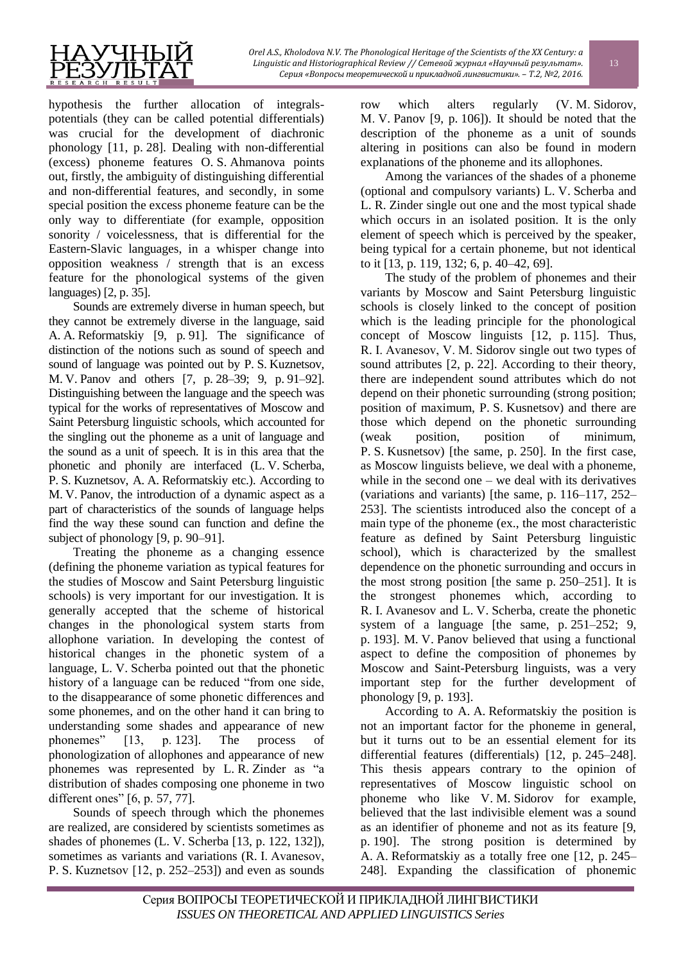

hypothesis the further allocation of integralspotentials (they can be called potential differentials) was crucial for the development of diachronic phonology [11, p. 28]. Dealing with non-differential (excess) phoneme features O. S. Ahmanova points out, firstly, the ambiguity of distinguishing differential and non-differential features, and secondly, in some special position the excess phoneme feature can be the only way to differentiate (for example, opposition sonority / voicelessness, that is differential for the Eastern-Slavic languages, in a whisper change into opposition weakness / strength that is an excess feature for the phonological systems of the given languages) [2, p. 35].

Sounds are extremely diverse in human speech, but they cannot be extremely diverse in the language, said A. A. Reformatskiy [9, p. 91]. The significance of distinction of the notions such as sound of speech and sound of language was pointed out by P. S. Kuznetsov, M. V. Panov and others [7, p. 28–39; 9, p. 91–92]. Distinguishing between the language and the speech was typical for the works of representatives of Moscow and Saint Petersburg linguistic schools, which accounted for the singling out the phoneme as a unit of language and the sound as a unit of speech. It is in this area that the phonetic and phonily are interfaced (L. V. Scherba, P. S. Kuznetsov, A. A. Reformatskiy etc.). According to M. V. Panov, the introduction of a dynamic aspect as a part of characteristics of the sounds of language helps find the way these sound can function and define the subject of phonology [9, p. 90–91].

Treating the phoneme as a changing essence (defining the phoneme variation as typical features for the studies of Moscow and Saint Petersburg linguistic schools) is very important for our investigation. It is generally accepted that the scheme of historical changes in the phonological system starts from allophone variation. In developing the contest of historical changes in the phonetic system of a language, L. V. Scherba pointed out that the phonetic history of a language can be reduced "from one side, to the disappearance of some phonetic differences and some phonemes, and on the other hand it can bring to understanding some shades and appearance of new phonemes" [13, p. 123]. The process of phonologization of allophones and appearance of new phonemes was represented by L. R. Zinder as "a distribution of shades composing one phoneme in two different ones" [6, p. 57, 77].

Sounds of speech through which the phonemes are realized, are considered by scientists sometimes as shades of phonemes (L. V. Scherba [13, p. 122, 132]), sometimes as variants and variations (R. I. Avanesov, P. S. Кuznetsov [12, p. 252–253]) and even as sounds row which alters regularly (V. М. Sidorov, М. V. Panov [9, p. 106]). It should be noted that the description of the phoneme as a unit of sounds altering in positions can also be found in modern explanations of the phoneme and its allophones.

Among the variances of the shades of a phoneme (optional and compulsory variants) L. V. Scherba and L. R. Zinder single out one and the most typical shade which occurs in an isolated position. It is the only element of speech which is perceived by the speaker, being typical for a certain phoneme, but not identical to it [13, p. 119, 132; 6, p. 40–42, 69].

The study of the problem of phonemes and their variants by Moscow and Saint Petersburg linguistic schools is closely linked to the concept of position which is the leading principle for the phonological concept of Moscow linguists [12, p. 115]. Thus, R. І. Аvanesov, V. М. Sidorov single out two types of sound attributes [2, p. 22]. According to their theory, there are independent sound attributes which do not depend on their phonetic surrounding (strong position; position of maximum, P. S. Kusnetsov) and there are those which depend on the phonetic surrounding (weak position, position of minimum, P. S. Kusnetsov) [the same, p. 250]. In the first case, as Moscow linguists believe, we deal with a phoneme, while in the second one  $-$  we deal with its derivatives (variations and variants) [the same, p. 116–117, 252– 253]. The scientists introduced also the concept of a main type of the phoneme (ex., the most characteristic feature as defined by Saint Petersburg linguistic school), which is characterized by the smallest dependence on the phonetic surrounding and occurs in the most strong position [the same p. 250–251]. It is the strongest phonemes which, according to R. I. Avanesov and L. V. Scherba, create the phonetic system of a language [the same, p. 251–252; 9, p. 193]. M. V. Panov believed that using a functional aspect to define the composition of phonemes by Moscow and Saint-Petersburg linguists, was a very important step for the further development of phonology [9, p. 193].

According to A. A. Reformatskiy the position is not an important factor for the phoneme in general, but it turns out to be an essential element for its differential features (differentials) [12, p. 245–248]. This thesis appears contrary to the opinion of representatives of Moscow linguistic school on phoneme who like V. M. Sidorov for example, believed that the last indivisible element was a sound as an identifier of phoneme and not as its feature [9, p. 190]. The strong position is determined by A. A. Reformatskiy as a totally free one [12, p. 245– 248]. Expanding the classification of phonemic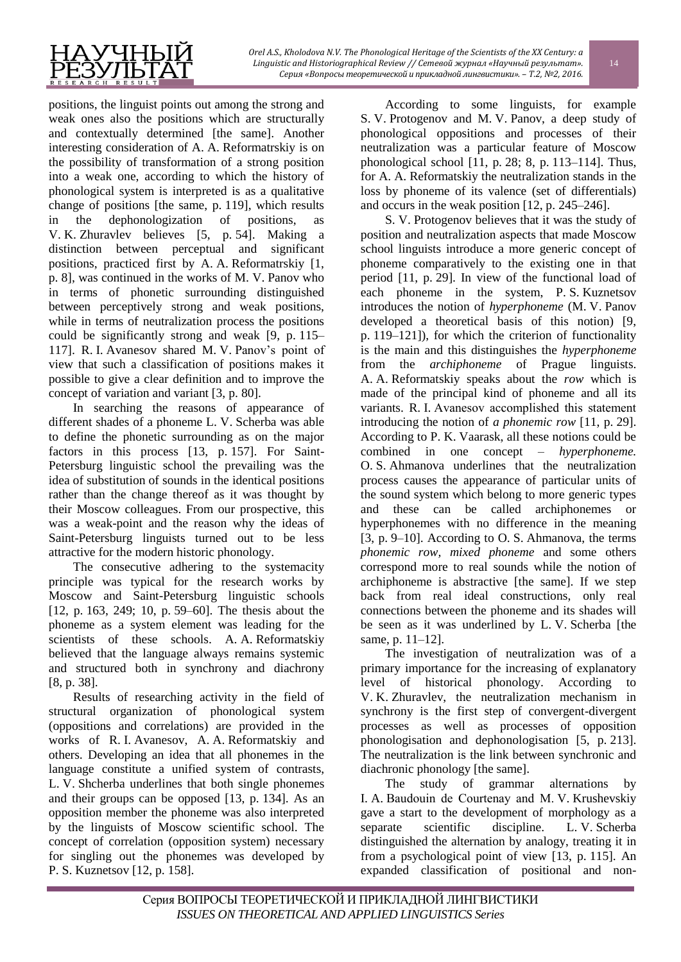

positions, the linguist points out among the strong and weak ones also the positions which are structurally and contextually determined [the same]. Another interesting consideration of A. A. Reformatrskiy is on the possibility of transformation of a strong position into a weak one, according to which the history of phonological system is interpreted is as a qualitative change of positions [the same, p. 119], which results in the dephonologization of positions, as V. K. Zhuravlev believes [5, p. 54]. Making a distinction between perceptual and significant positions, practiced first by A. A. Reformatrskiy [1, p. 8], was continued in the works of M. V. Panov who in terms of phonetic surrounding distinguished between perceptively strong and weak positions, while in terms of neutralization process the positions could be significantly strong and weak [9, p. 115– 117]. R. I. Avanesov shared M. V. Panov's point of view that such a classification of positions makes it possible to give a clear definition and to improve the concept of variation and variant [3, p. 80].

In searching the reasons of appearance of different shades of a phoneme L. V. Scherba was able to define the phonetic surrounding as on the major factors in this process [13, p. 157]. For Saint-Petersburg linguistic school the prevailing was the idea of substitution of sounds in the identical positions rather than the change thereof as it was thought by their Moscow colleagues. From our prospective, this was a weak-point and the reason why the ideas of Saint-Petersburg linguists turned out to be less attractive for the modern historic phonology.

The consecutive adhering to the systemacity principle was typical for the research works by Moscow and Saint-Petersburg linguistic schools [12, p. 163, 249; 10, p. 59–60]. The thesis about the phoneme as a system element was leading for the scientists of these schools. A. A. Reformatskiy believed that the language always remains systemic and structured both in synchrony and diachrony [8, p. 38].

Results of researching activity in the field of structural organization of phonological system (oppositions and correlations) are provided in the works of R. I. Avanesov, A. A. Reformatskiy and others. Developing an idea that all phonemes in the language constitute a unified system of contrasts, L. V. Shcherba underlines that both single phonemes and their groups can be opposed [13, p. 134]. As an opposition member the phoneme was also interpreted by the linguists of Moscow scientific school. The concept of correlation (opposition system) necessary for singling out the phonemes was developed by P. S. Kuznetsov [12, p. 158].

According to some linguists, for example S. V. Protogenov and M. V. Panov, a deep study of phonological oppositions and processes of their neutralization was a particular feature of Moscow phonological school [11, p. 28; 8, p. 113–114]. Thus, for A. A. Reformatskiy the neutralization stands in the loss by phoneme of its valence (set of differentials) and occurs in the weak position [12, p. 245–246].

S. V. Protogenov believes that it was the study of position and neutralization aspects that made Moscow school linguists introduce a more generic concept of phoneme comparatively to the existing one in that period [11, p. 29]. In view of the functional load of each phoneme in the system, P. S. Kuznetsov introduces the notion of *hyperphoneme* (M. V. Panov developed a theoretical basis of this notion) [9, p. 119–121]), for which the criterion of functionality is the main and this distinguishes the *hyperphoneme* from the *archiphoneme* of Prague linguists. A. A. Reformatskiy speaks about the *row* which is made of the principal kind of phoneme and all its variants. R. I. Аvanesov accomplished this statement introducing the notion of *a phonemic row* [11, p. 29]. According to P. K. Vaarask, all these notions could be combined in one concept – *hyperphoneme.* O. S. Ahmanova underlines that the neutralization process causes the appearance of particular units of the sound system which belong to more generic types and these can be called archiphonemes or hyperphonemes with no difference in the meaning [3, p. 9–10]. According to O. S. Ahmanova, the terms *phonemic row, mixed phoneme* and some others correspond more to real sounds while the notion of archiphoneme is abstractive [the same]. If we step back from real ideal constructions, only real connections between the phoneme and its shades will be seen as it was underlined by L. V. Scherba [the same, p. 11–12].

The investigation of neutralization was of a primary importance for the increasing of explanatory level of historical phonology. According to V. K. Zhuravlev, the neutralization mechanism in synchrony is the first step of convergent-divergent processes as well as processes of opposition phonologisation and dephonologisation [5, p. 213]. The neutralization is the link between synchronic and diachronic phonology [the same].

The study of grammar alternations by I. A. Baudouin de Courtenay and М. V. Krushevskiy gave a start to the development of morphology as a separate scientific discipline. L. V. Scherba distinguished the alternation by analogy, treating it in from a psychological point of view [13, p. 115]. An expanded classification of positional and non-